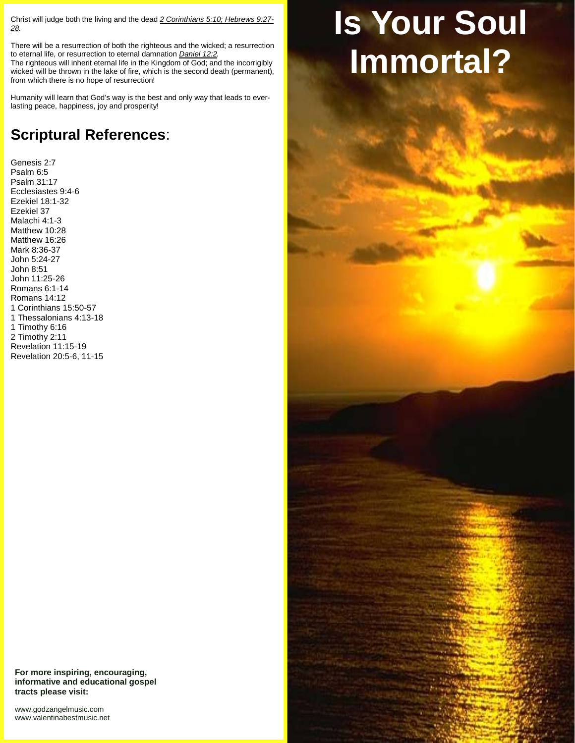Christ will judge both the living and the dead *2 Corinthians 5:10; Hebrews 9:27- 28.*

There will be a resurrection of both the righteous and the wicked; a resurrection to eternal life, or resurrection to eternal damnation *Daniel 12:2.* The righteous will inherit eternal life in the Kingdom of God; and the incorrigibly

wicked will be thrown in the lake of fire, which is the second death (permanent), from which there is no hope of resurrection!

Humanity will learn that God's way is the best and only way that leads to everlasting peace, happiness, joy and prosperity!

## **Scriptural References**:

Genesis 2:7 Psalm 6:5 Psalm 31:17 Ecclesiastes 9:4-6 Ezekiel 18:1-32 Ezekiel 37 Malachi 4:1-3 Matthew 10:28 Matthew 16:26 Mark 8:36-37 John 5:24-27 John 8:51 John 11:25-26 Romans 6:1-14 Romans 14:12 1 Corinthians 15:50-57 1 Thessalonians 4:13-18 1 Timothy 6:16 2 Timothy 2:11 Revelation 11:15-19 Revelation 20:5-6, 11-15

**For more inspiring, encouraging, informative and educational gospel tracts please visit:**

<www.godzangelmusic.com> <www.valentinabestmusic.net>

## **Is Your Soul Immortal?**